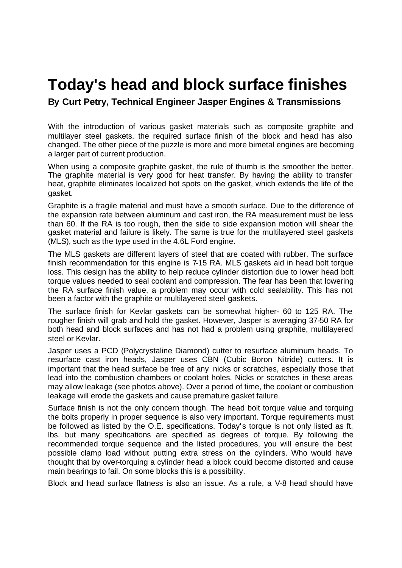## **Today's head and block surface finishes**

**By Curt Petry, Technical Engineer Jasper Engines & Transmissions**

With the introduction of various gasket materials such as composite graphite and multilayer steel gaskets, the required surface finish of the block and head has also changed. The other piece of the puzzle is more and more bimetal engines are becoming a larger part of current production.

When using a composite graphite gasket, the rule of thumb is the smoother the better. The graphite material is very good for heat transfer. By having the ability to transfer heat, graphite eliminates localized hot spots on the gasket, which extends the life of the gasket.

Graphite is a fragile material and must have a smooth surface. Due to the difference of the expansion rate between aluminum and cast iron, the RA measurement must be less than 60. If the RA is too rough, then the side to side expansion motion will shear the gasket material and failure is likely. The same is true for the multilayered steel gaskets (MLS), such as the type used in the 4.6L Ford engine.

The MLS gaskets are different layers of steel that are coated with rubber. The surface finish recommendation for this engine is 7-15 RA. MLS gaskets aid in head bolt torque loss. This design has the ability to help reduce cylinder distortion due to lower head bolt torque values needed to seal coolant and compression. The fear has been that lowering the RA surface finish value, a problem may occur with cold sealability. This has not been a factor with the graphite or multilayered steel gaskets.

The surface finish for Kevlar gaskets can be somewhat higher- 60 to 125 RA. The rougher finish will grab and hold the gasket. However, Jasper is averaging 37-50 RA for both head and block surfaces and has not had a problem using graphite, multilayered steel or Kevlar.

Jasper uses a PCD (Polycrystaline Diamond) cutter to resurface aluminum heads. To resurface cast iron heads, Jasper uses CBN (Cubic Boron Nitride) cutters. It is important that the head surface be free of any nicks or scratches, especially those that lead into the combustion chambers or coolant holes. Nicks or scratches in these areas may allow leakage (see photos above). Over a period of time, the coolant or combustion leakage will erode the gaskets and cause premature gasket failure.

Surface finish is not the only concern though. The head bolt torque value and torquing the bolts properly in proper sequence is also very important. Torque requirements must be followed as listed by the O.E. specifications. Today's torque is not only listed as ft. lbs. but many specifications are specified as degrees of torque. By following the recommended torque sequence and the listed procedures, you will ensure the best possible clamp load without putting extra stress on the cylinders. Who would have thought that by over-torquing a cylinder head a block could become distorted and cause main bearings to fail. On some blocks this is a possibility.

Block and head surface flatness is also an issue. As a rule, a V-8 head should have